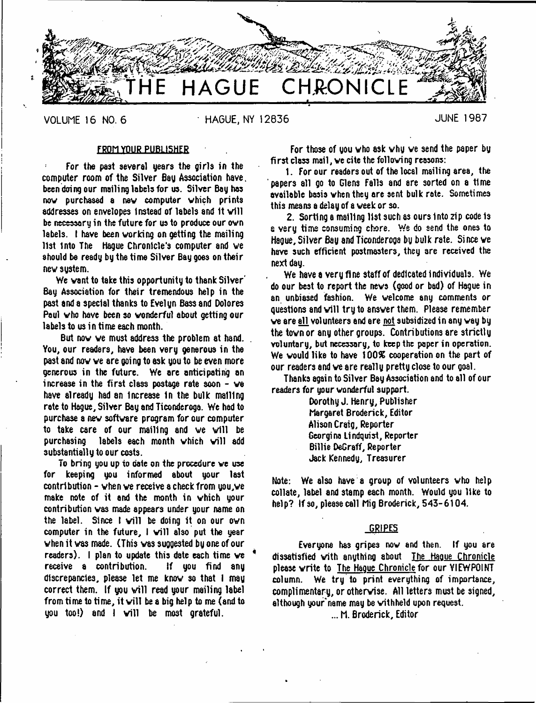

VOLUME 16 NO. 6 **BILGO HAGUE, NY 12836** AND THE 1987

# FROM YOUR PUBLISHER

For the past several years the girls in the computer room of the Silver Bay Association have, been doing our mailing labels for us. Silver Bay has now purchased 8 new computer which prints addresses on envelopes instead of labels and 1t will be necessary in the future for us to produce our own labels. I have been working on getting the mailing 11st Into The Hague Chronicle's computer and ve should be ready by the time Silver Bay goes on their new sustem.

We want to take this opportunity to thank Silver' Bay Association for their tremendous help in the past and a special thanks to Evelyn Bass and Dolores Paul who have been so wonderful about getting our labels to us in time each month.

But now we must address the problem at hand. You, our readers, have been very generous in the past and now ve are goi ng to ask you to be even more generous in the future. We are anticipating an increase in the first class postage rate soon - we have already had an Increase In the bulk mailing rate to Hague, Silver Bay and Ticonderoga. We had to purchase a new software program for our computer to take care of our mailing and we will be purchasing labels each month which will add substantially to our costs.

To bring you up to date on the procedure ve use for keeping you informed about your last contribution - when ve receive a check from you,ve make note of it and the month in which your contribution was made appears under your name on the label. Since I will be doing it on our own computer in the future,  $\mathbf{I}$  will also put the year when it vas made. (This was suggested by one of our readers). I plan to update this date each time we receive a contribution. If you find any discrepancies, please let me know so that I may correct them. If you will read your mailing label from time to time, it will be a big help to me (and to you too!) and I will be most grateful.

For those of you who ask why we send the paper by fi rst class mail, ve cite the follovi ng reasons:

1. For our readers out of the local mailing area, the papers all go to Glens Falls and are sorted on a time available basis when they are sent bulk rate. Sometimes this means a delay of a week or so.

2. Sorting a mailing 11st such as ours Into zip code is a very time consuming chore. We do send the ones to Hague, Silver Bay and Ticonderoga by bulk rate. Since we have such efficient postmasters, they are received the next day.

We have a very fine staff of dedicated Individuals. We do our best to report the news (good or bad) of Hague in an unbiased fashion. We welcome any comments or questions and will try to answer them. Please remember ve are all volunteers and are not subsidized in any way by the town or any other groups. Contributions are strictly voluntary, but necessary, to keep the paper in operation. We would like to have 100% cooperation on the part of our readers and ve are really pretty close to our goal.

Thanks again to Silver Bay Association and to all of our readers for your wonderful support.

> Dorothy J. Henry, Publisher Margaret Broderick, Editor Alison Craig, Reporter Georgina Lindquist, Reporter Billie DeGraff, Reporter Jack Kennedy, Treasurer

Note: We also have a group of volunteers who help collate, label and stamp each month. Would you like to help? If so, please call Mig Broderick, 543-6104.

#### GRIPES

Everyone has gripes now and then. If you are dissatisfied vith anything about The Hague Chronicle please write to The Haoue Chronicle for our VIEWPOINT column. We try to print everything of importance, complimentary, or otherwise. All letters must be signed, although your'name may be withheld upon request.

... M. Broderick, Editor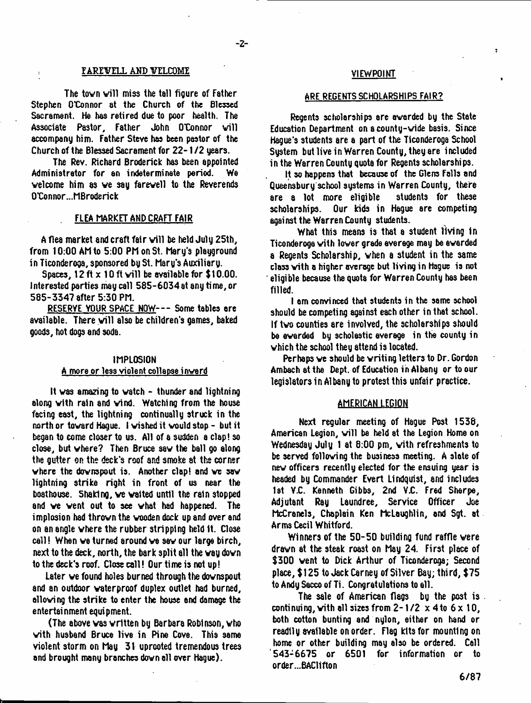#### FAREVELL AND VELCOME

The tovn will miss the tall figure of Father Stephen O'Connor at the Church of the Blessed Sacrament. He has retired due to poor health. The Associate Pastor, Father John O'Connor will accompany him. Father Steve has been pastor of the Church of the Blessed Sacrament for 22-1/2 years.

The Rev. Richard Broderick has been appointed Administrator for an indeterminate period. We welcome him as we say farewell to the Reverends O'Connor.-.MBroderick

#### FLEA MARKET AMD CRAFT FAIR

A flea market and craft fair will be held July 25th, from 10:00 Ah to 5:00 Ph on St. Mary's playground in Ticonderoga, sponsored by St. Mary's Auxiliary.

Spaces, 12 ft  $\times$  10 ft will be available for \$10.00. Interested parties may call 585-6034at any time, or 585-3347 after 5:30 PM.

RESERYE YOUR SPACE NOW--- Some tables are available. There will also be children's games, baked goods, hot dogs and soda.

# IMPLOSION

# A more or less violent collapse inverd

It vas amazing to vatch - thunder and lightning along with rain and wind. Watching from the house facing east, the lightning continually struck in the north or toward Hague. I wished it would stop - but it began to come closer to us. All of a sudden a clap! so close, but where? Then Bruce saw the ball go along the gutter on the deck's roof and smoke at the corner where the downspout is. Another clap! and we saw lightning strike right in front of us near the boathouse. Shaking, ve waited until the rain stopped and ve vent out to see what had happened. The implosion had thrown the wooden dock up and over and on an angle where the rubber stripping held It. Close call! When ve turned around ve saw our large birch, next to the deck, north, the bark split all the vay down to the deck's roof. Close call! Our time is not up!

Later ve found holes burned through the downspout and an outdoor waterproof duplex outlet had burned, allowing the strike to enter the house end damage the entertainment equipment.

(The above vas written by Barbara Robi nson, who with husband Bruce live in Pine Cove. This same violent storm on May 31 uprooted tremendous trees and brought many branches down all over Hague).

# VIEWPOINT

7

#### ARE REGENTS SCHOLARSHIPS FAIR?

Regents scholarships are awarded by the State Education Department on a county-wide basis. Since Hague's students are a part of the Ticonderoga School Sustem but live in Warren County, they are included in the Warren County quota for Regents scholarships.

It so happens that because of the Glens Falls and Queensbury school systems in Warren County, there are a lot more eligible students for these scholarships. Our kids in Hague are competing against the Warren County students.

What this means is that a student living in Ticonderoga with lover grade average may be awarded a Regents Scholarship, when a student in the same class with a higher overage but living in Hague is not eligible because the quota for Warren County has been filled.

I am convinced that students in the same school should be competing against each other in that school. If two counties are involved, the scholarships should be awarded by scholastic average in the county in which the school they attend is located.

Perhaps ve should be writing letters to Dr. Gordon Ambachatthe Dept, of Education in Albany or to our legislators in Albany to protest this unfair practice.

#### AMERICAN LEGION

Next regular meeting of Hague Post 1536, American Legion, will be held at the Legion Home on Wednesday July 1 at 8:00 pm, with refreshments to be served following the business meeting. A slate of new officers recently elected for the ensuing year is headed by Commander Evert Lindquist, and includes 1st V.C. Kenneth Gibbs, 2nd V.C. Fred Sharpe, Adjutant Ray Laundree, Service Officer Joe McCranels, Chaplain Ken McLaughlin, and Sgt. at Arms Cecil Whitford.

Winners of the 50-50 building fund raffle were drawn at the steak roast on May 24. First place of \$300 went to Dick Arthur of Ticonderoga; Second place, \$125 to Jack Carney of Silver Bay; third, \$75 to Andy Sacco of Ti. Congratulations to all.

The sale of American flags by the post is . continuing, with all sizes from  $2-1/2 \times 4$  to  $6 \times 10$ , both cotton bunting and nylon, either on hand or readily available on order. Flag kits for mounting on home or other building may also be ordered. Call '543-6675 or 6501 for information or to order...BAC11fton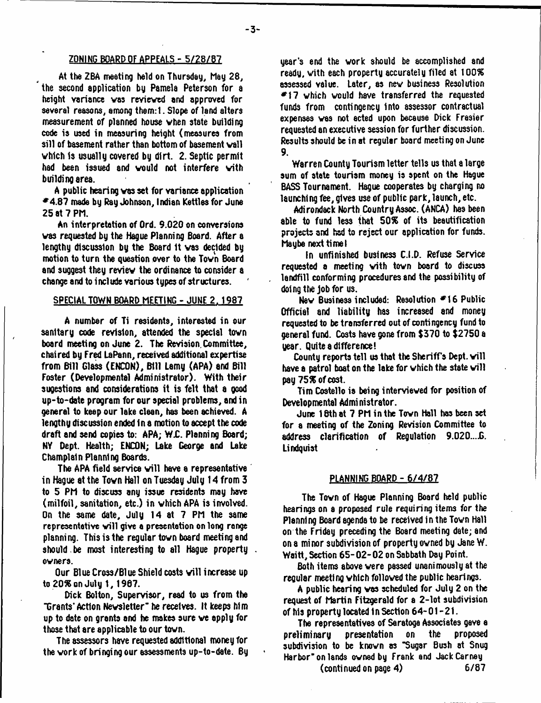# ZONING BOARD OF APPEALS - 5/28/87

At the ZBA meeting held on Thursday, May 28, the second application by Pamela Peterson for a height variance vas revieved and approved for several reasons, among them:1. Slope of land alters measurement of planned house vhen state building code is used in measuring height (measures from sill of basement rather than bottom of basement vail vhlch is usually covered by dirt. 2. Septic permit had been issued and vould not interfere vith building area.

A public hearing vas set for variance application \*4.8? made by Ray Johnson, Indian Kettles for June 25 at 7 PM.

An interpretation of Ord. 9.020 on conversions vas requested by the Hague Planning Board. After a lengthy discussion by the Board It vas decided by motion to turn the question over to the Town Board and suggest they review the ordinance to consider a change and to include various types of structures.

#### SPECIAL TOWN BOARD MEETING - JUNE 2. 1987

A number of Ti residents, interested in our sanitary code revision, attended the special tovn board meeting on June 2. The Revision,Committee, chaired by Fred LaPann, received additional expertise from Bill Glass (ENCON), Bill Lamy (APA) and Bill Foster (Developmental Administrator). With their sugestions and considerations it is felt that a good up-to-date program for our special problems, and in general to keep our lake clean, has been achieved. A lengthy discussion ended In a motion to accept the code draft and send copies to: APA; W.C. Planning Board; NV Dept. Health; ENCON; Lake George and Lake Champlain Planning Boards.

The APA field service will have a representative in Hague at the Tovn Hall on Tuesday July 14 from 3 to 5 PM to discuss any issue residents may have (milfoil, sanitation, etc.) in which APA is involved. On the same date, July 14 at 7 PM the same representative will give a presentation on long range planning. This is the regular tovn board meeting and should be most interesting to all Hague property. ovners.

Our Blue Cross/Blue Shield costs will increase up to 20% on July 1, 1967.

Dick Bolton, Supervisor, read to us from the "Grants' Action Newsletter" he receives. It keeps him up to date on grants and he makes sure ve apply for those that are applicable to our tovn.

The assessors have requested additional money for the vork of bringing our assessments up-to-date. By

year's end the vork should be accomplished and ready, vith each property accurately filed at 100% assessed value. Later, as nev business Resolution  $*17$  which would have transferred the requested funds from contingency into assessor contractual expenses ves not acted upon because Dick Frasier requested an executive session for further discussion. Results should be in at regular board meeting on June 9.

Warren County Tourism letter tells us that a large sum of state tourism money is spent on the Hague BASS Tournament. Hague cooperates by charging no launching fee, gives use of public park, launch, etc.

Adirondack North Country Assoc. (ANCA) has been able to fund less that 50% of its beautification projects and had to reject our application for funds. Maybe next timet

In unfinished business C.I.D. Refuse Service requested a meeting vith tovn board to discuss landfill conforming procedures and the possibility of doing the job for us.

Nev Business included: Resolution \*16 Public Official and liability has increased and money requested to be transferred out of contingency fund to general fund. Costs have Qone from \$370 to \$2750 a year. Quite a difference!

County reports tell us that the Sheriff's Dept. will have a patrol boat on the lake for which the state will pay 75% of cost.

Tim Costello ia being interviewed for position of Developmental Administrator.

June 18th at 7 PM in the Tovn Hall has been set for a meeting of the Zoning Revision Committee to address clarification of Regulation 9.020....G. Lindquist

#### PLANNING BOARD - 6/4/87

The Tovn of Hague Planning Board held public hearings on a proposed rule requiring items for the Planning Board agenda to be received in the Tovn Hall on the Friday preceding the Board meeting date; and on a minor subdivision of property owned by Jane W. Waitt, Section 65- 02- 02 on Sabbath Day Point.

Both items above were passed unanimously at the regular meeting vhich followed the public hearings.

A public hearing vas scheduled for July 2 on the request of Martin Fitzgerald for a 2-lot subdivision of his property located in Section  $64-01-21$ .

The representatives of Saratoga Associates gave a preliminary presentation on the proposed subdivision to be known as "Sugar Bush at Snug Harbor" on lands owned by Frank and Jack Carney

(continued on page 4) 6/87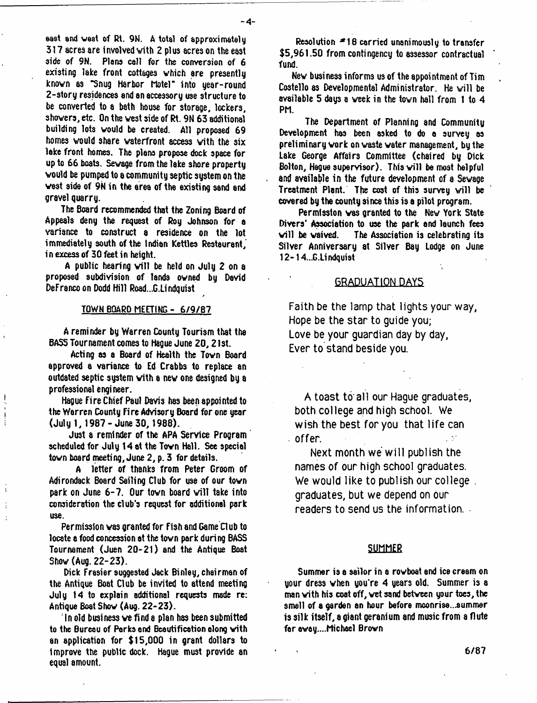eaet and vast of Rt. 9N. A total of approximately 317 acres are involved vith 2 plus acres on the east side of 9N. Plans call for the conversion of 6 existing lake front cottages vhich are presently knovn as "Snug Harbor Motel" into year-round 2-story residences and an accessory use structure to be converted to a bath house for storage, lockers, shovers, etc. On the vest side of Rt. 9N 63 additional building lots vould be created. All proposed 69 homes vould share vaterfront access vith the six lake front homes. The plans propose dock space for up to 66 boats. Sewage from the lake shore property would be pumped to a community septic system on the vest side of 9N in the area of the existing sand and gravel quarry.

The Board recommended that the Zoning Board of Appeals deny the request of Roy Johnson for a variance to construct a residence on the lot immediately south of the Indian Kettles Restaurant, in excess of 30 feet in height.

A public hearing will be held on July 2 on a proposed subdivision of lands owned by David DeFranco on Dodd Hill Road...G.Lindquist

# TOWN BOARD MEETING - 6/9/87

A reminder by Warren County Tourism that the BASS Tournament comes to Hague June 20 ,21st.

Acting as a Board of Health the Tovn Board approved a variance to Ed Crabbs to replace an outdated septic system vith a nev one designed by a professional engineer.

Hague Fire Chief Paul Davis has been appointed to the Warren County Fire Advisory Board for one year (July 1,1987-June 30, 1988).

Just a reminder of the APA Service Program scheduled for July 14 at the Tovn Hall. See special tovn board meeting, June 2, p. 3 for details.

A letter of thanks from Peter Groom of Adirondack Board Sailing Club for use of our tovn park on June 6-7. Our town board will take into consideration the club's request for additional park use.

Permission vas granted for Fish and Game Club to locate a food concession at the tovn park during BASS Tournament (Juen 20-21) and the Antique Boat Show (Aug. 22-23).

Dick Frasier suggested Jack Binley, chairman of the Antique Boat Club be invited to attend meeting July 14 to explain additional requests made re: Antique Boat Show (Aug. 22-23).

In old business ve find a plan has been submitted to the Bureau of Parks ond Beautification along vith an application for \$15,000 in grant dollars to Improve the public dock. Hague must provide an equal amount.

Resolution  $*18$  carried unanimously to transfer \$5,961.50 from contingency to assessor contractual fund.

Nev business informs us of the appointment of Tim Costello as Developmental Administrator. He will be available 5 days a veek in the tovn hall from 1 to 4 PM.

The Department of Planning and Community Development has been asked to do a survey as preliminary vork on waste water management, by the Lake George Affairs Committee (chaired by Dick Bolton, Hague supervisor). This will be most helpful and available in the future development of a Sevage Treatment Plant. The cost of this survey will be covered by the county since this is a pilot program.

Permission vas granted to the Nev York State Divers' Association to use the park and launch fees<br>will be waived. The Association is celebrating its The Association is celebrating its Silver Anniversary at Silver Bay Lodge on June 12-14...G.Lindquist

# **GRADUATION DAYS**

**Faith be the lamp that lights your way, Hope be the star to guide you; Love be your guardian day by day, Ever to stand beside you.**

**A toast to all our Hague graduates, both college and high school. We wish the best for you that life can offer.**

**Next month we will publish the names of our high school graduates. We would like to publish our college . graduates, but we depend on our readers to send us the information. -**

# SUMMER

Summer is a sailor in a rowboat end ice cream on your dress when you're 4 years old. Summer is a man with his coat off, vet sand between your toes, the smell of a garden an hour before moonrise...summer is silk itself, a giant geranium and music from a flute faravay....Michael Brovn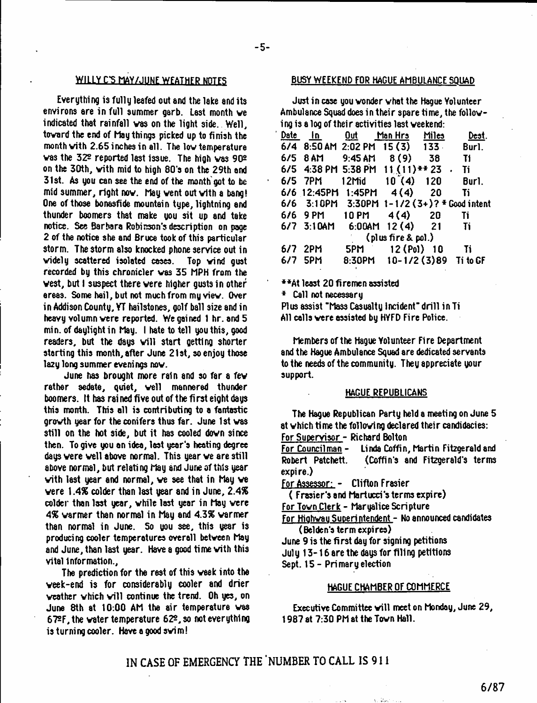#### **WILLY C-S MAY/JUNE WFATHFP MOTFS**

Everything is fully leafed out and the lake and its environs are in full summer garb. Last month ve indicated that rainfall was on the light side. Well, tovard the end of hay things picked up to finish the month vith 2.65 inches in all. The low temperature vas the 32s reported last issue. The high vas 902 on the 30th, vith mid to high 80's on the 29th and 31st. As you can see the end of the month got to be mid summer, right now. May went out with a bang! One of those bonasfide mountain type, lightning and thunder boomers that make you sit up and take notice. See Barbara Robinson's description on page 2 of the notice she and Bruce took of this particular storm. The storm also knocked phone service out in videly scattered isolated cases. Top vind gust recorded by this chronicler vas 35 MPH from the vest, but I suspect there vere higher gusts in other areas. Some hail, but not much from my viev. Over in Addison County, YT hailstones, golf ball size and in heavy volumn vere reported. We gained 1 hr. and 5 min. of daylight in hay. I hate to tell you this, good readers, but the days will start getting shorter starting this month, after June 21st, so enjoy those lazy long summer eveni ngs nov.

June has brought more rain and so far a fev rather sedate, quiet, veil mannered thunder boomers. It has rained five out of the first eight days this month. This all is contributing to a fantastic grovth year for the conifers thus far. June 1st vas still on the hot side, but it has cooled dovn since then. To give you an idea, last year's heating degree days vere veil above normal. This year ve are still above normal, but relating hay and June of this year vith last year and normal, ve see that in hay ve vere *\A%* colder than last year and in June, *2A%* colder than last year, vhile last year in hay vere *4%* varmer than normal in hay and *4.1%* varmer than normal in June. So you see, this year is producing cooler temperatures overall between May and June, than last year. Have a good time vith this vital Information.,

The prediction for the rest of this veek into the veek-end is for considerably cooler and drier weather which will continue the trend. Oh yes, on June 8th at 10:00 AM the air temperature was 6?2F,the veter temperature 622, so not everything is turning cooler. Have a good svim!

# BUSY WEEKEND FOR HAGUE AMBULANCE SQUAD

Just in case you vonder vhat the Hague Volunteer Ambulance Squad does in their spare time, the folloving is a log of their activities last veekend:

|  |  | <u>Date In Dut ManHrs Miles Dest</u> .<br>$6/4$ 8:50 AM 2:02 PM 15 (3) 133 Burl.<br>6/5 8 AM 9:45 AM 8 (9) 38 T1<br>6/5 4:38 PM 5:38 PM $11(11)*223$ Ti<br>6/5 7PM 12Mid 10 (4) 120 Burl.<br>6/6 12:45PM 1:45PM 4(4) 20 Ti<br>6/6 3:10PM 3:30PM 1-1/2 (3+)? $\pm$ Good intent<br>6/6 9 PM 10 PM 4 (4) 20 Ti<br>6/7 3:10AM    6:00AM    12(4)    21    Ti<br>$\left($ plus fire & pol.)<br>6/7 2PM 5PM 12 (Pol) 10 Ti<br>6/7 5PM 8:30PM 10-1/2(3)89 TitoGF |
|--|--|-----------------------------------------------------------------------------------------------------------------------------------------------------------------------------------------------------------------------------------------------------------------------------------------------------------------------------------------------------------------------------------------------------------------------------------------------------------|

\*\*At least 20 firemen assisted

\* Call not necessary

Plus assist "Mass Casualty incident" drill in Ti All calls vere assisted by HYFD Fire Police.

Members of the Hague Yolunteer Fire Department and the Hague Ambulance Squad are dedicated servants to the needs of the community. They appreciate your support.

# HAGUE REPUBLICANS

The Hague Republican Party held a meeting on June 5 at vhich time the following declared their candidacies: For Supervisor - Richard Bolton

For Councilman - Linda Coffin, Martin Fitzgerald and Robert Patchett. (Coffin's and Fitzgerald's terms expire.)

For Assessor: - Clifton Frosier

( Frasier's and Mortucci's terms expire)

For Tovn Clerk - Maryalice Scripture

For Hiahvau Superintendent - No announced candidates (Belden's termexpires)

- June 9 is the first day for signing petitions
- July 13-16 are the days for filing petitions
- Sept. 15 Primary election

# HAGUE CHAMBER OF COMMERCE

Executive Committee will meet on Monday, June 29, 1987 at 7:30 PM at the Tovn Hall.

# **IN CASE OF EMERGENCY THE 'NUMBER TO CALL IS 911**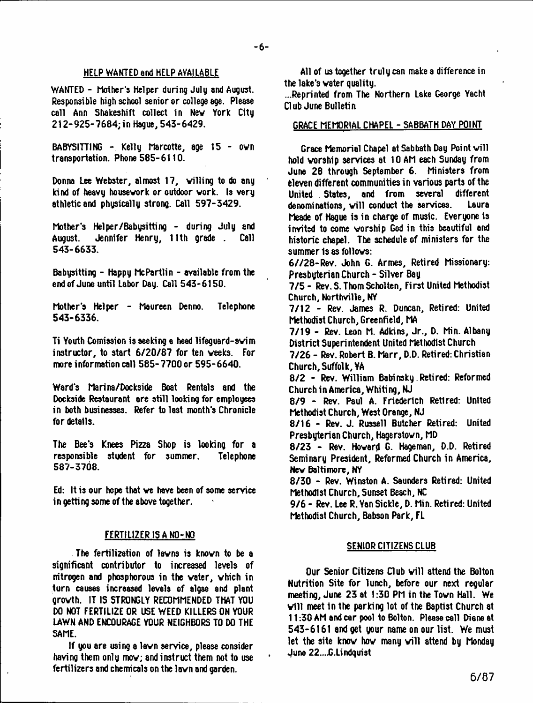# HELP WANTED and HELP AVAILABLE

WANTED - Mother's Helper during July end August. Responsible high school senior or college age. Please call Ann Shakeshift collect in Nev York City 212-925-7684; in Hague, 543-6429.

BABYSITTING - Kelly Marcotte, age 15 - ovn transportation. Phone 585-6110.

Donna Lee Webster, almost 17, willing to do any kind of heavy housework or outdoor vork. Is very athletic and physically strong. Call 597-3429.

Mother's Helper/Babysitting - during July and August. Jennifer Henry, 11th grade . Call 543-6633.

Babysitting - Happy McPartlin - available from the end of June until Labor Day. Call 543-6150.

Mother's Helper - Maureen Denno. Telephone 543-6336.

Ti Youth Comission is seeking a head lifeguard-svim instructor, to start 6/20/87 for ten veeks. For more information call 585-7700 or 595-6640.

Ward's Marina/Dockside Boat Rentals and the Dockside Restaurant are still looking for employees in both businesses. Refer to last month's Chronicle for details.

The Bee's Knees Pizza Shop is looking for a responsible student for summer. Telephone 587-3708.

Ed: It is our hope that ve have been of some service in getting some of the above together.

# FERTILIZER IS A NO-NO

The fertilization of levns is knovn to be a significant contributor to increased levels of nitrogen and phosphorous in the vater, vhich in turn causes increased levels of algae and plant growth. IT IS STRONGLY RECOMMENDED THAT YOU DO NOT FERTILIZE OR USE WEED KILLERS ON YOUR LAWN AND ENCOURAGE YOUR NEIGHBORS TO DO THE SAME.

If you are using a lawn service, please consider having them only mov; and instruct them not to use fertilizers and chemicals on the lawn and garden.

All of us together truly can make a difference in the lake's vater quality.

...Reprinted from The Northern Lake George Yacht Club June Bulletin

# GRACE MEMORIAL CHAPEL - SABBATH DAY POINT

Grace Memorial Chapel at Sabbath Day Point will hold worship services at 10 AM each Sunday from June 28 through September 6. Ministers from eleven different communities in various parts of the United States, and from several different denominations, will conduct the services. Laura Meade of Hague is in charge of music. Everyone Is invited to come worship God in this beautiful and historic chapel. The schedule of ministers for the summer is as follows:

6//28-Rev. John G. Armes, Retired Missionary: Presbyterian Church - Silver Bay

7/5 - Rev.S.ThomScholten, First United Methodist Church, Northville, NY

7/12 - Rev. James R. Duncan, Retired: United Methodist Church, Greenfield, MA

7/19 - Rev. Leon M. Adkins, Jr., D. Min. Albany District Superintendent United Methodist Church

7/26 - Rev. Robert B. Marr, D.D. Retired: Christian Church, Suffolk, YA

8/2 - Rev. William Babinsky Retired: Reformed Church in America, Whiting, NJ

8/9 - Rev. Paul A. Friederich Retired: United Methodist Church, West Orange, NJ

8/16 - Rev. J. Russell Butcher Retired: United Presbyterian Church, Hagerstovn, MD

8/23 - Rev. Howard G. Hageman, D.D. Retired Seminary President, Reformed Church in America, Nev Baltimore, NY

8/30 - Rev. Winston A. Saunders Retired: United Methodist Church, Sunset Beach, NC

9/6 - Rev. Lee R. Yan Sickle, D. Min. Retired: United Methodist Church, Babson Park, FL

# SENIOR CITIZENS CLUB

Our Senior Citizens Club will attend the Bolton Nutrition Site for lunch, before our next regular meeting, June 23 at 1:30 PM in the Tovn Hall. We will meet in the parking lot of the Baptist Church at 11:30 AM and car pool to Bolton. Please call Diane at 543-6161 and get your name on our list. We must let the site know how many will attend by Monday June 22....C.Lindquist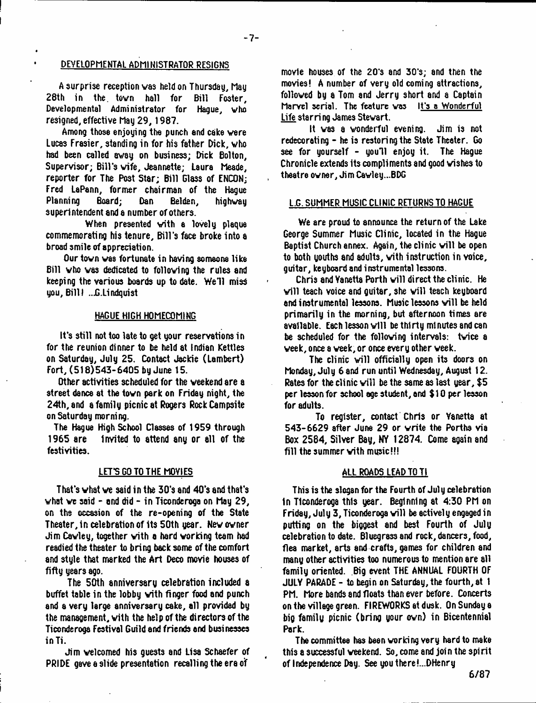# DEVELOPMENTAL ADMINISTRATOR RESIGNS

A surprise reception vas held on Thursday, May 28th in the. tovn hall for Bill Foster, Developmental Administrator for Hague, vho resigned, effective May 29, 1987.

Among those enjoying the punch and cake vere Lucas Frasier, standing in for his father Dick, who had been called away on business; Dick Bolton, Supervisor; Bill's vife, Jeannette; Laura Meade, reporter for The Post Star; Bill Glass of ENCON; Fred LaPann, former chairman of the Hague<br>Planning Board; Dan Belden, highway Planning Board; Dan superintendent and a number of others.

When presented with a lovely plaque commemorating his tenure, Bill's face broke into a broad smile of appreciation.

Our tovn vas fortunate in having someone like Bill vho vas dedicated to following the rules and keeping the various boards up to date. We'll miss you, Bill I ...G.Lindquist

# HAGUE HIGH HOMECOMING

It's still not too late to get your reservations in for the reunion dinner to be held at Indian Kettles on Saturday, July 25. Contact Jackie (Lambert) Fort, (518)543-6405 by June 15.

Other activities scheduled for the weekend are a street dance at the tovn park on Friday night, the 24th, and a family picnic at Rogers Rock Campsite on Saturday morning.

The Hague High School Classes of 1959 through 1965 are Invited to attend any or all of the festivities.

# LET'S GO TO THE MOYJES

That's vhat ve said in the 30's and 40's and that's what we said  $-$  and did  $-$  in Ticonderoga on May 29, on the occasion of the re-opening of the State Theater, in celebration of its 50th year. New owner Jim Cavley, together vith a hard working team had readied the theater to bring back some of the comfort and style that marked the Art Deco movie houses of fifty years ago.

The 50th anniversary celebration included a buffet table in the lobby vith finger food and punch and a very large anniversary cake, all provided by the management, vith the help of the directors of the Ticonderoga Festival Guild and friends and businesses in Ti.

Jim welcomed his guests and Lisa Schaefer of PRIDE gave a slide presentation recalling the era of

movie houses of the 20's and 30's; and then the movies! A number of very old coming attractions, followed by a Tom and Jerry short and a Captain Marvel serial. The feature vas It's a Wonderful Life starring James Stevart.

It vas a wonderful evening. Jim is not redecorating - he is restoring the State Theater. Go see for yourself - you'll enjoy it. The Hague Chronicle extends its compliments and good wishes to theatre owner, Jim Cavley...BDG

# L.G. SUMMER MUSIC CLINIC RETURNS TO HAGUE

We are proud to announce the return of the Lake George Summer Music Clinic, located in the Hague Baptist Church annex. Again, the clinic will be open to both youths and adults, with instruction in voice, guitar, keyboard and instrumental lessons.

Chris and Vanetta Porth will direct the clinic. He will teach voice and quitar, she will teach keyboard and instrumental lessons. Music lessons will be held primarily in the morning, but afternoon times are available. Each lesson will be thirty minutes and can be scheduled for the following intervals: twice a veek, once a veek, or once every other week.

The clinic will officially open its doors on Monday, July 6 and run until Wednesday, August 12. Rates for the clinic will be the same as last year,  $$5$ per lesson for school age student, and \$ 10 per lesson for adults.

To register, contact Chris or Yanetta at 543-6629 after June 29 or write the Porths via Box 2584, Silver Bay, NY 12874. Come again and fill the summer vith music!!!

#### ALL ROADS LEAD TO TI

This is the slogan for the Fourth of Jul y celebration In Ticonderoga this year. Beginning at 4:30 PM on Friday, July 3, Ticonderoga will be actively engaged in putting on the biggest and best Fourth of July celebration to date. Bluegrassand rock, dancers, food, flea market, arts and crafts, games for children and many other activities too numerous to mention are all family oriented. Big event THE ANNUAL FOURTH OF JULY PARADE - to begin on Saturday, the fourth, at 1 PM. More bands and floats than ever before. Concerts on the village green. FIREWORKS at dusk. On Sunday a big family picnic (bring your ovn) in Bicentennial Park.

The committee has bean working very hard to make this a successful veekend. So, come and join the spirit of Independence Day. See you there!...DHenry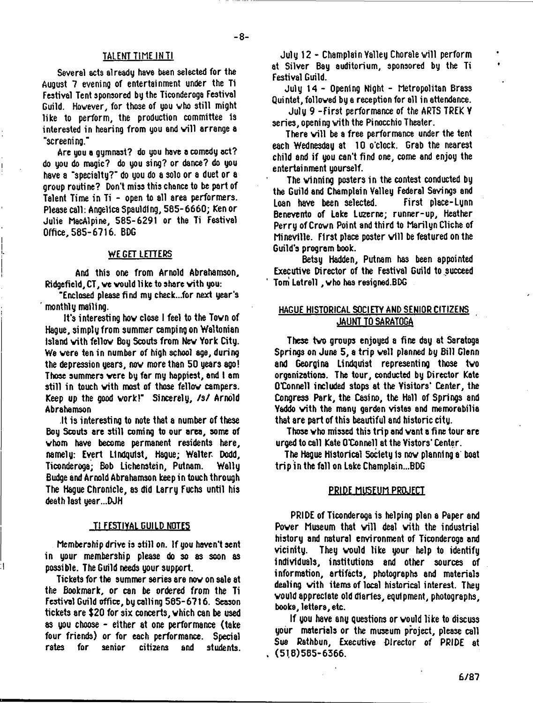#### TALENT TIME INTI

**-8-**

Several acts already have been selected for the August 7 evening of entertainment under the Ti Festival Tent sponsored by the Ticonderoga Festival Guild. Hovever, for those of you vho still might like to perform, the production committee is interested in hearing from you and will arrange a "screening."

Are you a gymnast? do you have a comedy act? do you do magic? do you sing? or dance? do you have a "specialtu?" do you do a solo or a duet or a group routine? Don't miss this chance to be part of Talent Time in Ti - open to all area performers. Please call: Angelica Spaulding, 585-6660; Ken or Julie MacAlpine, 585-6291 or the Ti Festival Office, 585-6716. BDG

#### WE GET LETTERS

And this one from Arnold Abrahamson, Ridgefield, CT, ve vould li ke to share vith you:

"Enclosed please find my check...for next year's monthly mailing.

It's interesting hov close 1 feel to the Tovn of Hague, simplyfrom summer camping on Waltonian Island vith fellov Boy Scouts from Nev York City. We vere ten in number of high school age, during the depression years, nov more than 50 years ago! Those summers vere by far my happiest, and 1 am still in touch vith most of those fellov campers. Keep up the good work!" Sincerely, /s/ Arnold Abrahamson

.It is interesting to note that a number of these Boy Scouts are still coming to our area, some of vhom have become permanent residents here, namely: Evert Lindquist, Hague; Walter Dodd, Ticonderoga; Bob Lichenstein, Putnam. Wally Budge and Arnold Abrahamson keep in touch through The Hague Chronicle, as did Larry Fuchs until his death last year...DJH

#### <u>TI FESTIYAL GUILD NOTES</u>

Membership drive is still on. If you haven't sent in your membership please do so as soon as possible. The Guild needs your support.

Tickets for the summer series are nov on sale at the Bookmark, or can be ordered from the Ti Festival Guild office, by calling 585-6716. Season tickets are \$20 for six concerts, vhich can be used as you choose - either at one performance (take four friends) or for each performance. Special rates for senior citizens and students.

July 12 - Champlain Valley Chorale will perform at Silver Bay auditorium, sponsored by the Ti Festival Guild.

July 14 - Opening Night - Metropolitan Brass Quintet, folloved bya reception for all in attendance.

July 9 -First performance of the ARTS TREK V series, opening vith the Pinocchio Theater.

There will be a free performance under the tent each Wednesday at 10 o'clock. Grab the nearest child and if you can't find one, come and enjoy the entertainment yourself.

The vinning posters in the contest conducted by the Guild and Champlain Valley Federal Savings and Loan have been selected. First place-Lynn Benevento of Lake Luzerne; runner-up, Heather Perry ofCrovn Point and third to Marilyn Cliche of Mineville. First place poster will be featured on the Guild's program book.

Betsy Hadden, Putnam has been appointed Executive Director of the Festival Guild to succeed Tom Latrell, vho has rosigned.BDG

# HAGUE HISTORICAL SOCIETY AND SENIOR CITIZENS JAUNT TO SARATOGA

These tvo groups enjoyed a fine day at Saratoga Springs on June 5, a trip veil planned by Bill Glenn and Georgina Lindquist representing those tvo organizations. The tour, conducted by Director Kate O'Connell included stops at the Visitors' Center, the Congress Park, the Casino, the Hall of Springs and Yaddo vith the many garden vistas and memorabilia that are part of this beautiful and historic city.

Those vho missed this trip and vant a fine tour are urged to call Kate O'Connell at the Viators' Center.

The Hague Historical Society Is nov planning a boat trip in the fall on Lake Champlain...BDG

#### PRIDE MUSEUM PROJECT

PRIDE of Ticonderoga is helping plan a Paper and Power Museum that will deal with the industrial history and natural environment of Ticonderoga and vicinity. They vould like your help to identify individuals, institutions and other sources of information, artifacts, photographs and materials dealing vith items of local historical interest. They vould appreciate old diaries, equipment, photographs, books, letters, etc.

If you have any questions or vould like to discuss your materials or the museum project, please call Sue Rathbun, Executive Director of PRIDE at . (51,8)585-6366.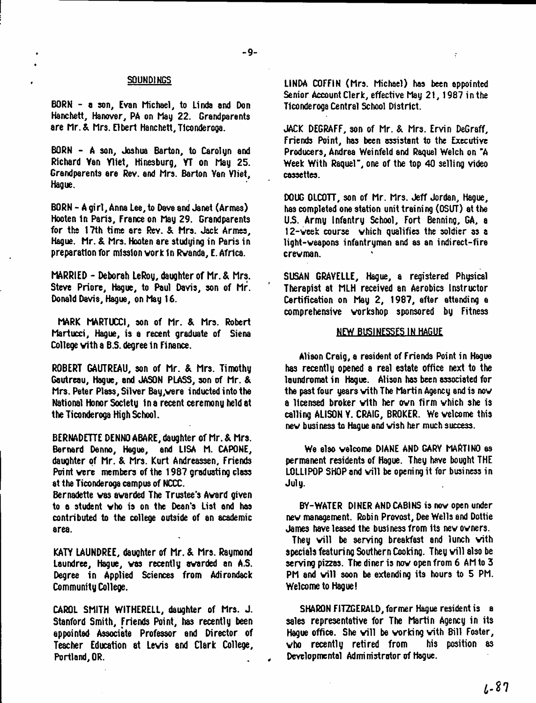- 9-

#### SQUND1NGS

BORN - a son, Evan Michael, to Linda and Don Hanchett, Hanover, PA on May 22. Grandparents are Mr.& Mrs. Elbert Hanchett,Ticonderoga.

BORN - A son, Joshua Barton, to Carolyn and Richard Van Yliet, Hinesburg, YT on May 25. Grandparents are Rev. and Mrs. Barton Van Vliet, Hague.

BORN - A girl, Anna Lee, to Dave and Janet (Armes) Hooten In Paris, France on May 29. Grandparents for the 17th time are Rev. & Mrs. Jack Armes, Hague. Mr. & Mrs. Hooten are studying in Paris in preparation for mission vork In Rvanda, E. Africa.

MARRIED - Deborah LeRoy, daughter of Mr. & Mrs. Steve Priore, Hague, to Paul Davis, son of Mr. Donald Davis, Hague, on May 16.

MARK MARTUCCI, son of Mr. & Mrs. Robert Martucci, Hague, is a recent graduate of Siena College with a B.S. degree in Finance.

ROBERT GAUTREAU, son of Mr. & Mrs. Timothy Gautreau, Hague, and JASON PLASS, son of Mr. & Mrs. Peter Plass, Silver Bay,vere inducted into the National Honor Society In a recent ceremony held at the Ticonderoga High School.

BERNADETTE DENNO ABARE, daughter of Mr. & Mrs. Bernard Denno, Hague, and LISA M. CAPONE, daughter of Mr. & Mrs. Kurt Andreassen, Friends Point vere members of the 1987 graduating class at the Ticonderoga campus of NCCC.

Bernadette vas awarded The Trustee's Avard given to a student vho is on the Dean's List and has contributed to the college outside of an academic area.

KATY LAUNDREE, daughter of Mr. & Mrs. Raymond Laundree, Hague, vas recently avarded an A.S. Degree in Applied Sciences from Adirondack Community College.

CAROL SMITH WITHERELL, daughter of Mrs. J. Stanford Smith, friends Point, has recently been appointed Associate Professor and Director of Teacher Education at Levis and Clark College, Portland, OR.

LINDA COFFIN (Mrs. Michael) has been appointed Senior Account Clerk, effective May 21, 1987 in the Ticonderoga Central School District.

JACK DEGRAFF, son of Mr. & Mrs. Ervin DeGraff, Friends Point, has been assistant to the Executive Producers, Andrea Weinfeld and Raquel Welch on \*A Week With Raquel", one of the top 40 selling video cassettes.

DOUG OLCOTT, son of Mr. Mrs. Jeff Jordan, Hague, has completed one station unit training (OSUT) at the *US.* Army Infantry School, Fort Benning, GA, a 12-veek course vhich qualifies the soldier as a light-veapons infantryman and as an indirect-fire crewman.

SUSAN GRAVELLE, Hague, a registered Physical Therapist at MLH received an Aerobics Instructor Certification on May 2, 1987, after attending e comprehensive workshop sponsored by Fitness

# NEW BUSINESSES IN HAGUE

Alison Craig, a resident of Friends Point in Hague has recently opened a real estate office next to the laundromat in Hague. Alison has been associated for the past four years vith The Martin Agency and is nov a licensed broker vith her ovn firm vhich she is calling ALISON Y. CRAIG, BROKER. We welcome this nev business to Hague and vish her much success.

We also welcome DIANE AND GARY MARTINO as permanent residents of Hague. They have bought THE LOLLIPOP SHOP and will be opening it for business in Jul y.

BY-WATER DINER ANDCABINS is nov open under nev management. Robin Provost, Dee Wells and Dottie James have leased the business from its nev owners.

They will be serving breakfast and lunch with specials featuring Southern Cooking. They will also be serving pizzas. The diner is now open from 6 AM to 3 PM and will soon be extending its hours to 5 PM. Welcome to Hague!

SHARON FITZGERALD, former Hague resident is a sales representative for The Martin Agency in its Hague office. She will be working with Bill Foster,  $\psi$ ho recently retired from his position as Developmental Administrator of Hague.